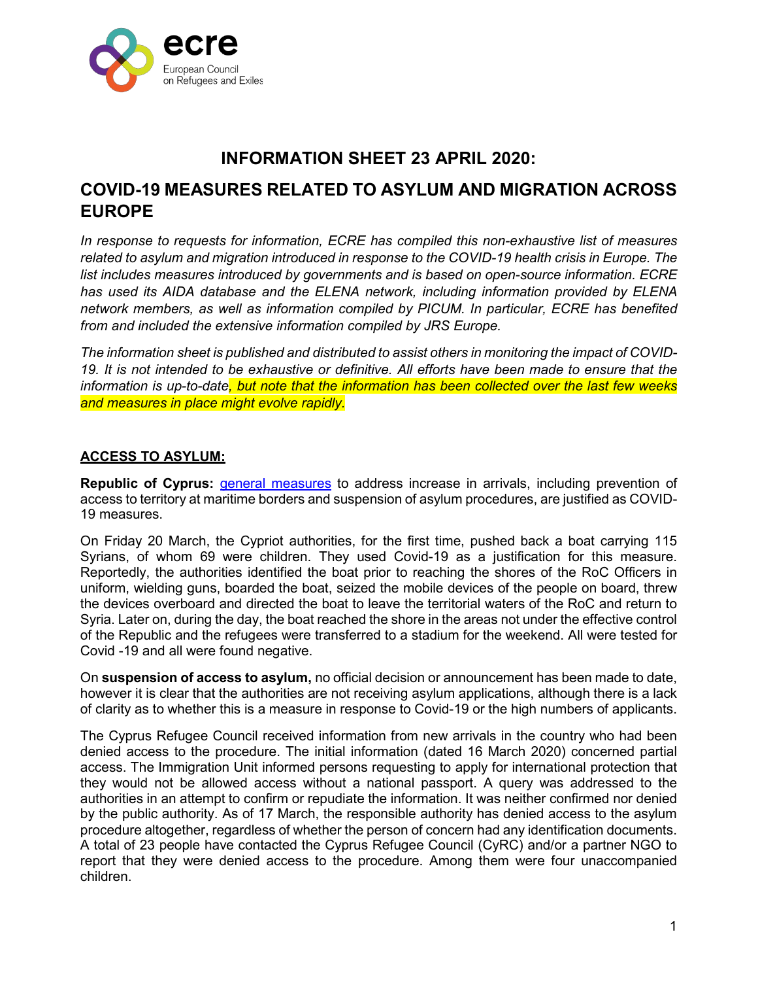

# **INFORMATION SHEET 23 APRIL 2020:**

# **COVID-19 MEASURES RELATED TO ASYLUM AND MIGRATION ACROSS EUROPE**

*In response to requests for information, ECRE has compiled this non-exhaustive list of measures related to asylum and migration introduced in response to the COVID-19 health crisis in Europe. The list includes measures introduced by governments and is based on open-source information. ECRE has used its AIDA database and the ELENA network, including information provided by ELENA network members, as well as information compiled by PICUM. In particular, ECRE has benefited from and included the extensive information compiled by JRS Europe.*

*The information sheet is published and distributed to assist others in monitoring the impact of COVID-19. It is not intended to be exhaustive or definitive. All efforts have been made to ensure that the information is up-to-date, but note that the information has been collected over the last few weeks and measures in place might evolve rapidly.*

## **ACCESS TO ASYLUM:**

**Republic of Cyprus: [general measures](https://www.asylumineurope.org/sites/default/files/report-download/aida_cy_2019update.pdf)** to address increase in arrivals, including prevention of access to territory at maritime borders and suspension of asylum procedures, are justified as COVID-19 measures.

On Friday 20 March, the Cypriot authorities, for the first time, pushed back a boat carrying 115 Syrians, of whom 69 were children. They used Covid-19 as a justification for this measure. Reportedly, the authorities identified the boat prior to reaching the shores of the RoC Officers in uniform, wielding guns, boarded the boat, seized the mobile devices of the people on board, threw the devices overboard and directed the boat to leave the territorial waters of the RoC and return to Syria. Later on, during the day, the boat reached the shore in the areas not under the effective control of the Republic and the refugees were transferred to a stadium for the weekend. All were tested for Covid -19 and all were found negative.

On **suspension of access to asylum,** no official decision or announcement has been made to date, however it is clear that the authorities are not receiving asylum applications, although there is a lack of clarity as to whether this is a measure in response to Covid-19 or the high numbers of applicants.

The Cyprus Refugee Council received information from new arrivals in the country who had been denied access to the procedure. The initial information (dated 16 March 2020) concerned partial access. The Immigration Unit informed persons requesting to apply for international protection that they would not be allowed access without a national passport. A query was addressed to the authorities in an attempt to confirm or repudiate the information. It was neither confirmed nor denied by the public authority. As of 17 March, the responsible authority has denied access to the asylum procedure altogether, regardless of whether the person of concern had any identification documents. A total of 23 people have contacted the Cyprus Refugee Council (CyRC) and/or a partner NGO to report that they were denied access to the procedure. Among them were four unaccompanied children.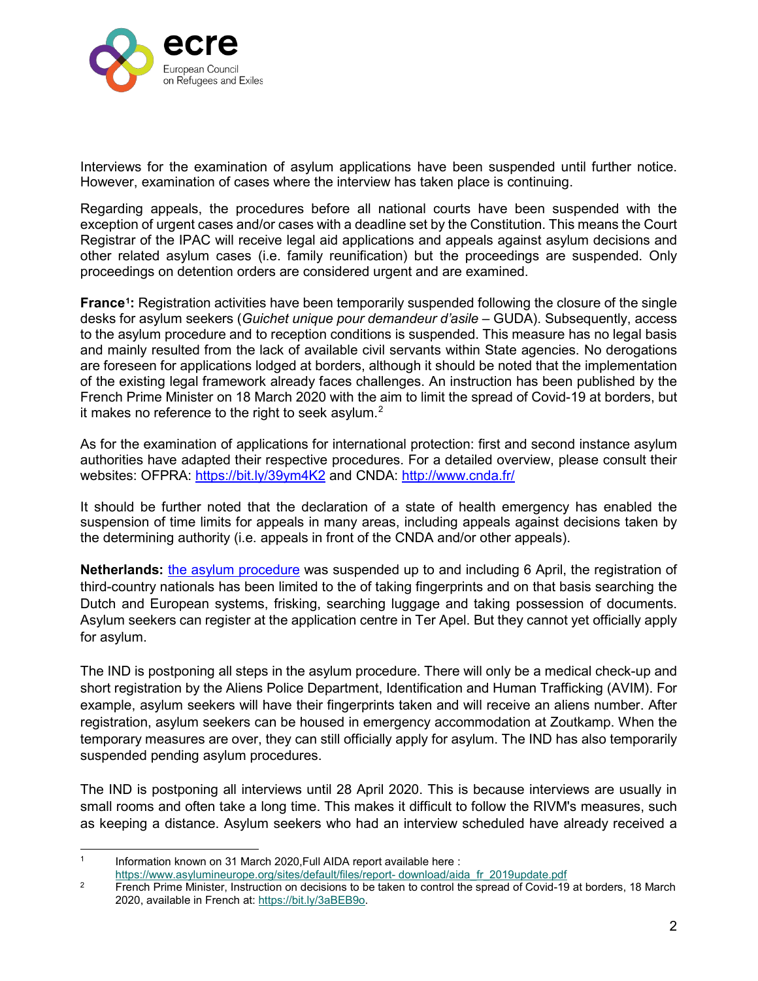

Interviews for the examination of asylum applications have been suspended until further notice. However, examination of cases where the interview has taken place is continuing.

Regarding appeals, the procedures before all national courts have been suspended with the exception of urgent cases and/or cases with a deadline set by the Constitution. This means the Court Registrar of the IPAC will receive legal aid applications and appeals against asylum decisions and other related asylum cases (i.e. family reunification) but the proceedings are suspended. Only proceedings on detention orders are considered urgent and are examined.

**France[1](#page-1-0):** Registration activities have been temporarily suspended following the closure of the single desks for asylum seekers (*Guichet unique pour demandeur d'asile* – GUDA). Subsequently, access to the asylum procedure and to reception conditions is suspended. This measure has no legal basis and mainly resulted from the lack of available civil servants within State agencies. No derogations are foreseen for applications lodged at borders, although it should be noted that the implementation of the existing legal framework already faces challenges. An instruction has been published by the French Prime Minister on 18 March 2020 with the aim to limit the spread of Covid-19 at borders, but it makes no reference to the right to seek asylum.<sup>[2](#page-1-1)</sup>

As for the examination of applications for international protection: first and second instance asylum authorities have adapted their respective procedures. For a detailed overview, please consult their websites: OFPRA:<https://bit.ly/39ym4K2> and CNDA:<http://www.cnda.fr/>

It should be further noted that the declaration of a state of health emergency has enabled the suspension of time limits for appeals in many areas, including appeals against decisions taken by the determining authority (i.e. appeals in front of the CNDA and/or other appeals).

**Netherlands:** [the asylum procedure](https://www.asylumineurope.org/sites/default/files/report-download/aida_nl_2019update.pdf) was suspended up to and including 6 April, the registration of third-country nationals has been limited to the of taking fingerprints and on that basis searching the Dutch and European systems, frisking, searching luggage and taking possession of documents. Asylum seekers can register at the application centre in Ter Apel. But they cannot yet officially apply for asylum.

The IND is postponing all steps in the asylum procedure. There will only be a medical check-up and short registration by the Aliens Police Department, Identification and Human Trafficking (AVIM). For example, asylum seekers will have their fingerprints taken and will receive an aliens number. After registration, asylum seekers can be housed in emergency accommodation at Zoutkamp. When the temporary measures are over, they can still officially apply for asylum. The IND has also temporarily suspended pending asylum procedures.

The IND is postponing all interviews until 28 April 2020. This is because interviews are usually in small rooms and often take a long time. This makes it difficult to follow the RIVM's measures, such as keeping a distance. Asylum seekers who had an interview scheduled have already received a

<span id="page-1-0"></span><sup>1</sup> Information known on 31 March 2020, Full AIDA report available here :

[https://www.asylumineurope.org/sites/default/files/report-](https://www.asylumineurope.org/sites/default/files/report-download/aida_fr_2019update.pdf) download/aida\_fr\_2019update.pdf

<span id="page-1-1"></span><sup>&</sup>lt;sup>2</sup> French Prime Minister, Instruction on decisions to be taken to control the spread of Covid-19 at borders, 18 March 2020, available in French at: [https://bit.ly/3aBEB9o.](https://bit.ly/3aBEB9o)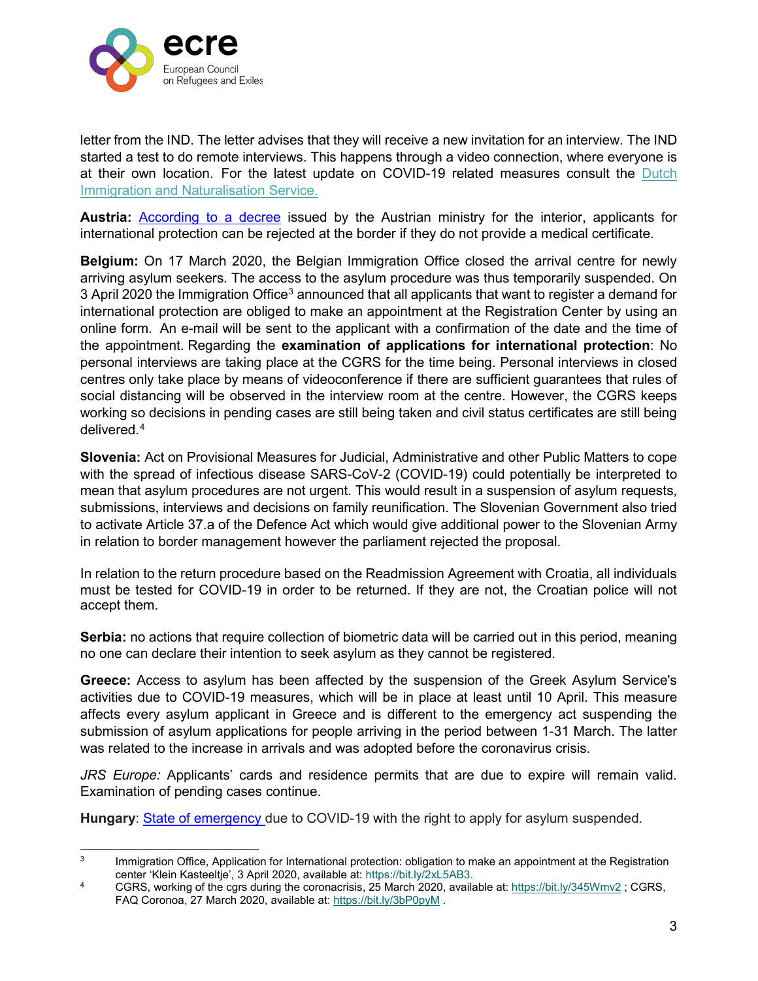

letter from the IND. The letter advises that they will receive a new invitation for an interview. The IND started a test to do remote interviews. This happens through a video connection, where everyone is at their own location. For the latest update on COVID-19 related measures consult the [Dutch](https://ind.nl/en/Pages/Coronavirus.aspx) [Immigration and Naturalisation Service.](https://ind.nl/en/Pages/Coronavirus.aspx)

**Austria:** [According to a decree](https://www.vienna.at/fluechtlinge-werden-an-der-grenze-abgewiesen/6576374) issued by the Austrian ministry for the interior, applicants for international protection can be rejected at the border if they do not provide a medical certificate.

**Belgium:** On 17 March 2020, the Belgian Immigration Office closed the arrival centre for newly arriving asylum seekers. The access to the asylum procedure was thus temporarily suspended. On [3](#page-2-0) April 2020 the Immigration Office<sup>3</sup> announced that all applicants that want to register a demand for international protection are obliged to make an appointment at the Registration Center by using an online form. An e-mail will be sent to the applicant with a confirmation of the date and the time of the appointment. Regarding the **examination of applications for international protection**: No personal interviews are taking place at the CGRS for the time being. Personal interviews in closed centres only take place by means of videoconference if there are sufficient guarantees that rules of social distancing will be observed in the interview room at the centre. However, the CGRS keeps working so decisions in pending cases are still being taken and civil status certificates are still being delivered.[4](#page-2-1)

**Slovenia:** Act on Provisional Measures for Judicial, Administrative and other Public Matters to cope with the spread of infectious disease SARS-CoV-2 (COVID-19) could potentially be interpreted to mean that asylum procedures are not urgent. This would result in a suspension of asylum requests, submissions, interviews and decisions on family reunification. The Slovenian Government also tried to activate Article 37.a of the Defence Act which would give additional power to the Slovenian Army in relation to border management however the parliament rejected the proposal.

In relation to the return procedure based on the Readmission Agreement with Croatia, all individuals must be tested for COVID-19 in order to be returned. If they are not, the Croatian police will not accept them.

**Serbia:** no actions that require collection of biometric data will be carried out in this period, meaning no one can declare their intention to seek asylum as they cannot be registered.

**Greece:** Access to asylum has been affected by the suspension of the Greek Asylum Service's activities due to COVID-19 measures, which will be in place at least until 10 April. This measure affects every asylum applicant in Greece and is different to the emergency act suspending the submission of asylum applications for people arriving in the period between 1-31 March. The latter was related to the increase in arrivals and was adopted before the coronavirus crisis.

*JRS Europe:* Applicants' cards and residence permits that are due to expire will remain valid. Examination of pending cases continue.

**Hungary**: [State of emergency d](https://www.euronews.com/2020/03/03/orban-uses-coronavirus-as-excuse-to-suspend-asylum-rights-in-hungary)ue to COVID-19 with the right to apply for asylum suspended.

<span id="page-2-0"></span><sup>&</sup>lt;sup>3</sup> Immigration Office, Application for International protection: obligation to make an appointment at the Registration center 'Klein Kasteeltje', 3 April 2020, available at: https://bit.ly/2xL5AB3.

<span id="page-2-1"></span><sup>4</sup> CGRS, working of the cgrs during the coronacrisis, 25 March 2020, available at:<https://bit.ly/345Wmv2> ; CGRS, FAQ Coronoa, 27 March 2020, available at:<https://bit.ly/3bP0pyM> .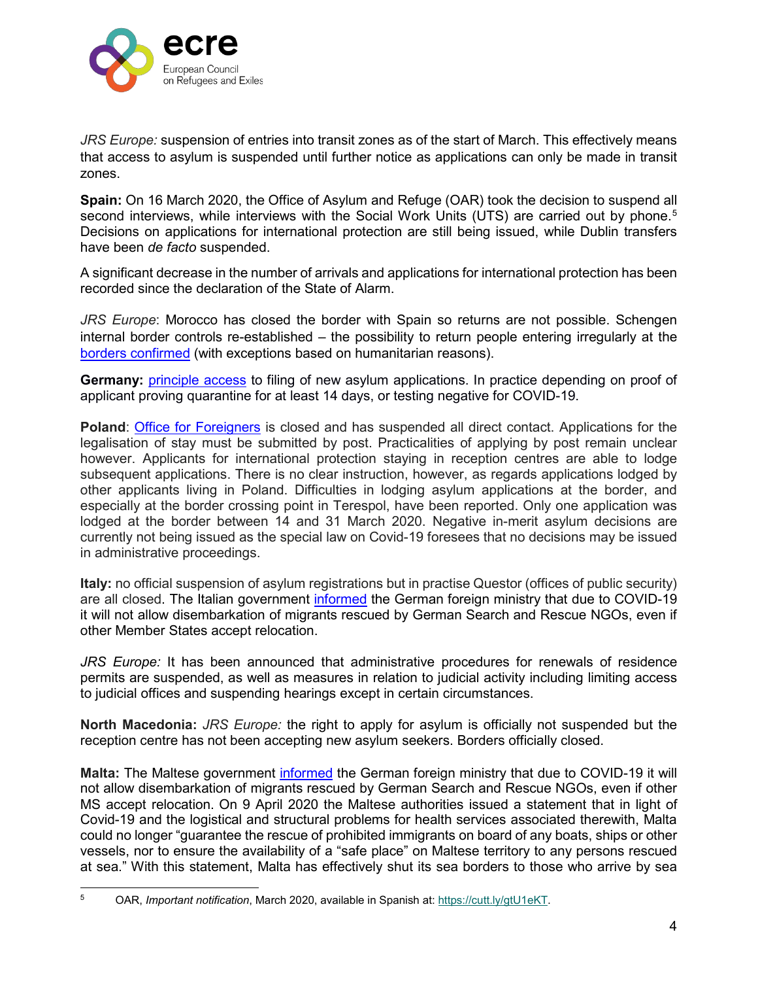

*JRS Europe:* suspension of entries into transit zones as of the start of March. This effectively means that access to asylum is suspended until further notice as applications can only be made in transit zones.

**Spain:** On 16 March 2020, the Office of Asylum and Refuge (OAR) took the decision to suspend all second interviews, while interviews with the Social Work Units (UTS) are carried out by phone.<sup>[5](#page-3-0)</sup> Decisions on applications for international protection are still being issued, while Dublin transfers have been *de facto* suspended.

A significant decrease in the number of arrivals and applications for international protection has been recorded since the declaration of the State of Alarm.

*JRS Europe*: Morocco has closed the border with Spain so returns are not possible. Schengen internal border controls re-established – the possibility to return people entering irregularly at the [borders confirmed](https://www.boe.es/boe/dias/2020/03/18/pdfs/BOE-A-2020-3825.pdf) (with exceptions based on humanitarian reasons).

**Germany:** [principle access](https://www.proasyl.de/hintergrund/newsticker-coronavirus-informationen-fuer-gefluechtete-unterstuetzerinnen/) to filing of new asylum applications. In practice depending on proof of applicant proving quarantine for at least 14 days, or testing negative for COVID-19.

**Poland**: [Office for Foreigners](https://udsc.gov.pl/en/suspension-of-direct-customer-service/) is closed and has suspended all direct contact. Applications for the legalisation of stay must be submitted by post. Practicalities of applying by post remain unclear however. Applicants for international protection staying in reception centres are able to lodge subsequent applications. There is no clear instruction, however, as regards applications lodged by other applicants living in Poland. Difficulties in lodging asylum applications at the border, and especially at the border crossing point in Terespol, have been reported. Only one application was lodged at the border between 14 and 31 March 2020. Negative in-merit asylum decisions are currently not being issued as the special law on Covid-19 foresees that no decisions may be issued in administrative proceedings.

**Italy:** no official suspension of asylum registrations but in practise Questor (offices of public security) are all closed. The Italian government [informed](https://www.maltatoday.com.mt/news/national/101526/malta_tells_germany_it_will_refuse_disembarkation_to_rescued_seaeye_migrants#.XoxPAogzbIV) the German foreign ministry that due to COVID-19 it will not allow disembarkation of migrants rescued by German Search and Rescue NGOs, even if other Member States accept relocation.

*JRS Europe:* It has been announced that administrative procedures for renewals of residence permits are suspended, as well as measures in relation to judicial activity including limiting access to judicial offices and suspending hearings except in certain circumstances.

**North Macedonia:** *JRS Europe:* the right to apply for asylum is officially not suspended but the reception centre has not been accepting new asylum seekers. Borders officially closed.

**Malta:** The Maltese government [informed](https://www.maltatoday.com.mt/news/national/101526/malta_tells_germany_it_will_refuse_disembarkation_to_rescued_seaeye_migrants#.XoxPAogzbIV) the German foreign ministry that due to COVID-19 it will not allow disembarkation of migrants rescued by German Search and Rescue NGOs, even if other MS accept relocation. On 9 April 2020 the Maltese authorities issued a statement that in light of Covid-19 and the logistical and structural problems for health services associated therewith, Malta could no longer "guarantee the rescue of prohibited immigrants on board of any boats, ships or other vessels, nor to ensure the availability of a "safe place" on Maltese territory to any persons rescued at sea." With this statement, Malta has effectively shut its sea borders to those who arrive by sea

<span id="page-3-0"></span> <sup>5</sup> OAR, *Important notification*, March 2020, available in Spanish at: [https://cutt.ly/gtU1eKT.](https://cutt.ly/gtU1eKT)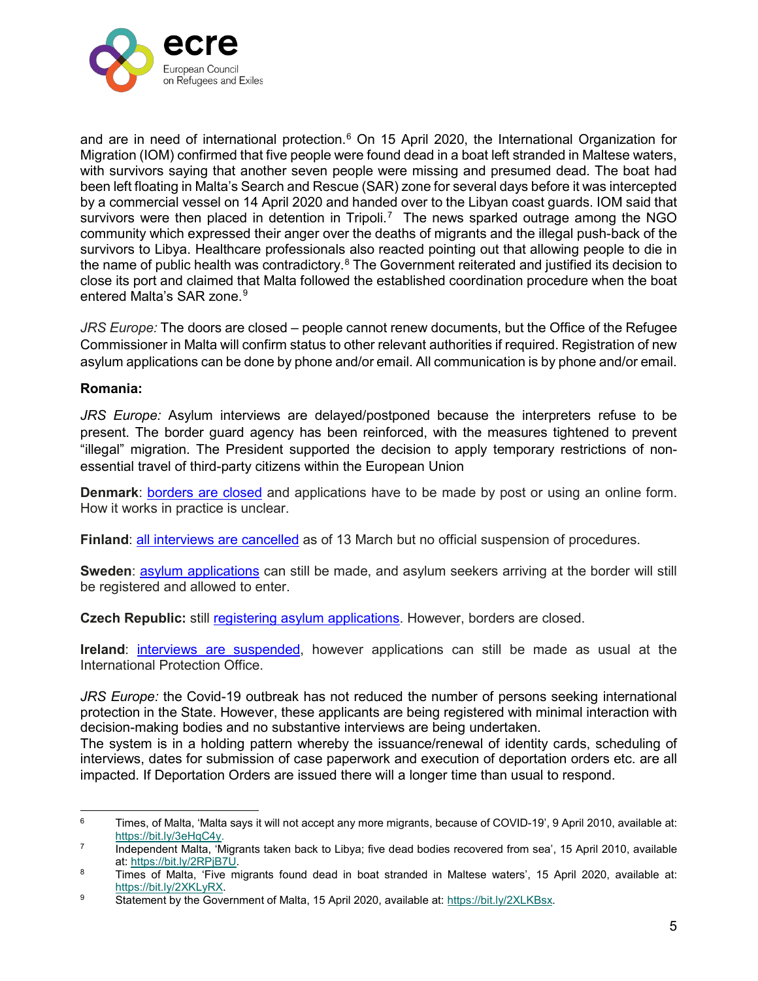

and are in need of international protection.<sup>[6](#page-4-0)</sup> On 15 April 2020, the International Organization for Migration (IOM) confirmed that five people were found dead in a boat left stranded in Maltese waters, with survivors saying that another seven people were missing and presumed dead. The boat had been left floating in Malta's Search and Rescue (SAR) zone for several days before it was intercepted by a commercial vessel on 14 April 2020 and handed over to the Libyan coast guards. IOM said that survivors were then placed in detention in Tripoli.<sup>[7](#page-4-1)</sup> The news sparked outrage among the NGO community which expressed their anger over the deaths of migrants and the illegal push-back of the survivors to Libya. Healthcare professionals also reacted pointing out that allowing people to die in the name of public health was contradictory.<sup>[8](#page-4-2)</sup> The Government reiterated and justified its decision to close its port and claimed that Malta followed the established coordination procedure when the boat entered Malta's SAR zone.<sup>[9](#page-4-3)</sup>

*JRS Europe:* The doors are closed – people cannot renew documents, but the Office of the Refugee Commissioner in Malta will confirm status to other relevant authorities if required. Registration of new asylum applications can be done by phone and/or email. All communication is by phone and/or email.

#### **Romania:**

*JRS Europe:* Asylum interviews are delayed/postponed because the interpreters refuse to be present. The border guard agency has been reinforced, with the measures tightened to prevent "illegal" migration. The President supported the decision to apply temporary restrictions of nonessential travel of third-party citizens within the European Union

**Denmark**: [borders are closed](https://www.weforum.org/agenda/2020/03/todays-covid-19-updates/) and applications have to be made by post or using an online form. How it works in practice is unclear.

**Finland**: [all interviews are cancelled](http://www.migri.fi/) as of 13 March but no official suspension of procedures.

**Sweden**: [asylum applications](http://www.government.se/) can still be made, and asylum seekers arriving at the border will still be registered and allowed to enter.

**Czech Republic:** still [registering asylum applications.](http://www.mvcr.cz/) However, borders are closed.

**Ireland**: [interviews are suspended,](http://www.inis.gov.ie/) however applications can still be made as usual at the International Protection Office.

*JRS Europe:* the Covid-19 outbreak has not reduced the number of persons seeking international protection in the State. However, these applicants are being registered with minimal interaction with decision-making bodies and no substantive interviews are being undertaken.

The system is in a holding pattern whereby the issuance/renewal of identity cards, scheduling of interviews, dates for submission of case paperwork and execution of deportation orders etc. are all impacted. If Deportation Orders are issued there will a longer time than usual to respond.

<span id="page-4-0"></span><sup>&</sup>lt;sup>6</sup> Times, of Malta, 'Malta says it will not accept any more migrants, because of COVID-19', 9 April 2010, available at: [https://bit.ly/3eHqC4y.](https://bit.ly/3eHqC4y)

<span id="page-4-1"></span><sup>&</sup>lt;sup>7</sup> Independent Malta, 'Migrants taken back to Libya; five dead bodies recovered from sea', 15 April 2010, available at: [https://bit.ly/2RPjB7U.](https://bit.ly/2RPjB7U)<br><sup>8</sup> Times of Malta, 'Five migrants found dead in boat stranded in Maltese waters', 15 April 2020, available at:

<span id="page-4-2"></span>https://bit.ly/2XKLyRX.<br><sup>9</sup> Statement by the Government of Malta, 15 April 2020, available at: https://bit.ly/2XLKBsx.

<span id="page-4-3"></span>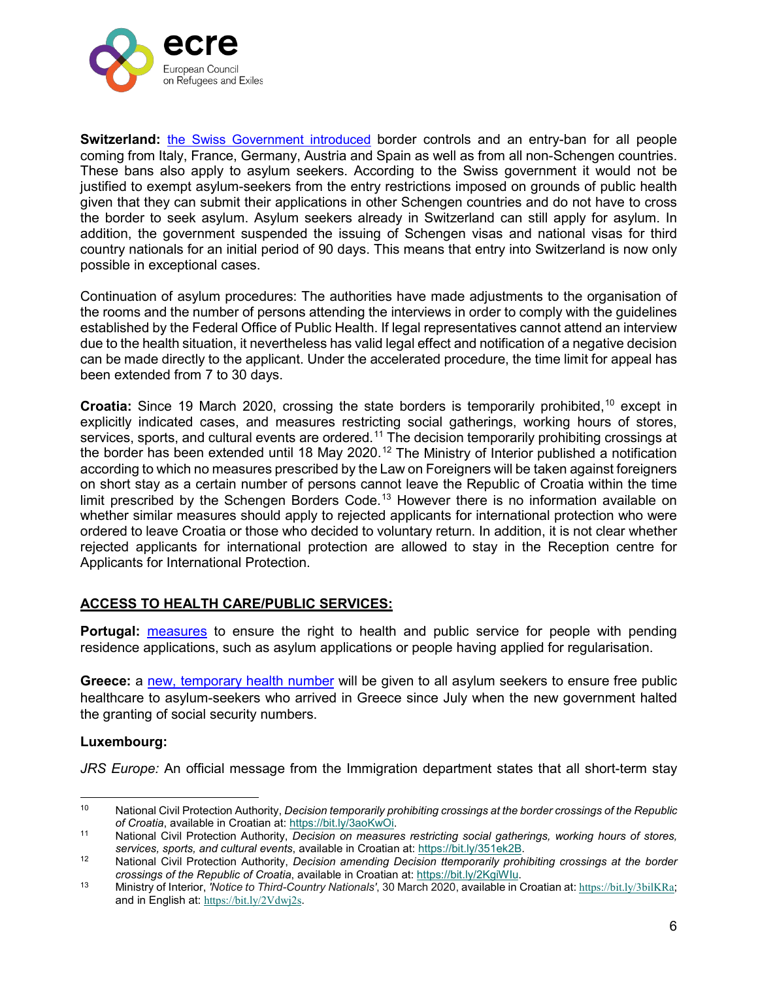

**Switzerland:** [the Swiss Government introduced](https://www.ejpd.admin.ch/ejpd/fr/home/aktuell/news/2020/2020-03-130.html) border controls and an entry-ban for all people coming from Italy, France, Germany, Austria and Spain as well as from all non-Schengen countries. These bans also apply to asylum seekers. According to the Swiss government it would not be justified to exempt asylum-seekers from the entry restrictions imposed on grounds of public health given that they can submit their applications in other Schengen countries and do not have to cross the border to seek asylum. Asylum seekers already in Switzerland can still apply for asylum. In addition, the government suspended the issuing of Schengen visas and national visas for third country nationals for an initial period of 90 days. This means that entry into Switzerland is now only possible in exceptional cases.

Continuation of asylum procedures: The authorities have made adjustments to the organisation of the rooms and the number of persons attending the interviews in order to comply with the guidelines established by the Federal Office of Public Health. If legal representatives cannot attend an interview due to the health situation, it nevertheless has valid legal effect and notification of a negative decision can be made directly to the applicant. Under the accelerated procedure, the time limit for appeal has been extended from 7 to 30 days.

**Croatia:** Since 19 March 2020, crossing the state borders is temporarily prohibited,<sup>[10](#page-5-0)</sup> except in explicitly indicated cases, and measures restricting social gatherings, working hours of stores, services, sports, and cultural events are ordered.<sup>[11](#page-5-1)</sup> The decision temporarily prohibiting crossings at the border has been extended until 18 May 2020.<sup>[12](#page-5-2)</sup> The Ministry of Interior published a notification according to which no measures prescribed by the Law on Foreigners will be taken against foreigners on short stay as a certain number of persons cannot leave the Republic of Croatia within the time limit prescribed by the Schengen Borders Code.<sup>[13](#page-5-3)</sup> However there is no information available on whether similar measures should apply to rejected applicants for international protection who were ordered to leave Croatia or those who decided to voluntary return. In addition, it is not clear whether rejected applicants for international protection are allowed to stay in the Reception centre for Applicants for International Protection.

#### **ACCESS TO HEALTH CARE/PUBLIC SERVICES:**

**Portugal:** [measures](https://www.ecre.org/portugal-covid-19-measure-services-ensured-for-people-with-pending-applications-for-asylum-or-regularisation/) to ensure the right to health and public service for people with pending residence applications, such as asylum applications or people having applied for regularisation.

**Greece:** a [new, temporary health number](https://twitter.com/rspaegean/status/1245283562657546240) will be given to all asylum seekers to ensure free public healthcare to asylum-seekers who arrived in Greece since July when the new government halted the granting of social security numbers.

#### **Luxembourg:**

*JRS Europe:* An official message from the Immigration department states that all short-term stay

<span id="page-5-0"></span> <sup>10</sup> National Civil Protection Authority, *Decision temporarily prohibiting crossings at the border crossings of the Republic* 

<span id="page-5-1"></span><sup>&</sup>lt;sup>11</sup> National Civil Protection Authority, *Decision on measures restricting social gatherings, working hours of stores, services, sports, and cultural events*, available in Croatian at: [https://bit.ly/351ek2B.](https://bit.ly/351ek2B)<br><sup>12</sup> National Civil Protection Authority, *Decision amending Decision ttemporarily prohibiting crossings at the border* 

<span id="page-5-2"></span>crossings of the Republic of Croatia, available in Croatian at: https://bit.ly/2KgiWlu.<br><sup>13</sup> Ministry of Interior, 'Notice to Third-Country Nationals', 30 March 2020, available in Croatian at: <https://bit.ly/3bilKRa>;

<span id="page-5-3"></span>and in English at: <https://bit.ly/2Vdwj2s>.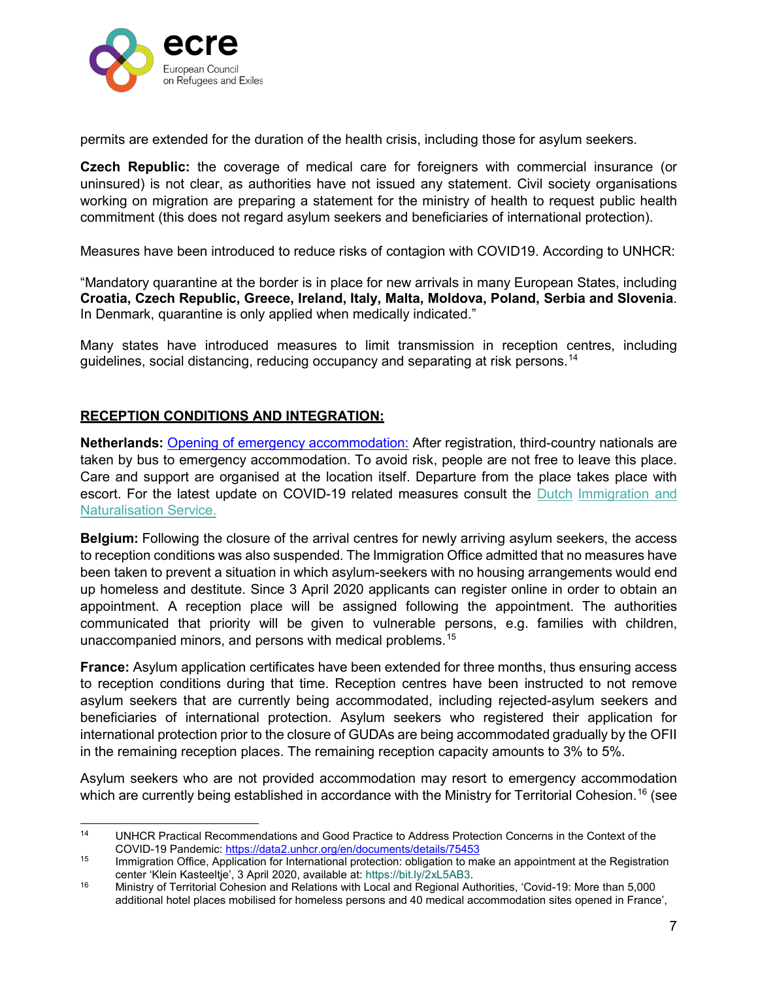

permits are extended for the duration of the health crisis, including those for asylum seekers.

**Czech Republic:** the coverage of medical care for foreigners with commercial insurance (or uninsured) is not clear, as authorities have not issued any statement. Civil society organisations working on migration are preparing a statement for the ministry of health to request public health commitment (this does not regard asylum seekers and beneficiaries of international protection).

Measures have been introduced to reduce risks of contagion with COVID19. According to UNHCR:

"Mandatory quarantine at the border is in place for new arrivals in many European States, including **Croatia, Czech Republic, Greece, Ireland, Italy, Malta, Moldova, Poland, Serbia and Slovenia**. In Denmark, quarantine is only applied when medically indicated."

Many states have introduced measures to limit transmission in reception centres, including guidelines, social distancing, reducing occupancy and separating at risk persons.<sup>[14](#page-6-0)</sup>

## **RECEPTION CONDITIONS AND INTEGRATION:**

**Netherlands:** [Opening of emergency accommodation:](https://www.asylumineurope.org/sites/default/files/report-download/aida_nl_2019update.pdf) After registration, third-country nationals are taken by bus to emergency accommodation. To avoid risk, people are not free to leave this place. Care and support are organised at the location itself. Departure from the place takes place with escort. For the latest update on COVID-19 related measures consult the [Dutch](https://ind.nl/en/Pages/Coronavirus.aspx) [Immigration and](https://ind.nl/en/Pages/Coronavirus.aspx)  [Naturalisation Service.](https://ind.nl/en/Pages/Coronavirus.aspx)

**Belgium:** Following the closure of the arrival centres for newly arriving asylum seekers, the access to reception conditions was also suspended. The Immigration Office admitted that no measures have been taken to prevent a situation in which asylum-seekers with no housing arrangements would end up homeless and destitute. Since 3 April 2020 applicants can register online in order to obtain an appointment. A reception place will be assigned following the appointment. The authorities communicated that priority will be given to vulnerable persons, e.g. families with children, unaccompanied minors, and persons with medical problems.<sup>[15](#page-6-1)</sup>

**France:** Asylum application certificates have been extended for three months, thus ensuring access to reception conditions during that time. Reception centres have been instructed to not remove asylum seekers that are currently being accommodated, including rejected-asylum seekers and beneficiaries of international protection. Asylum seekers who registered their application for international protection prior to the closure of GUDAs are being accommodated gradually by the OFII in the remaining reception places. The remaining reception capacity amounts to 3% to 5%.

Asylum seekers who are not provided accommodation may resort to emergency accommodation which are currently being established in accordance with the Ministry for Territorial Cohesion.<sup>[16](#page-6-2)</sup> (see

<span id="page-6-0"></span> <sup>14</sup> UNHCR Practical Recommendations and Good Practice to Address Protection Concerns in the Context of the COVID-19 Pandemic:<https://data2.unhcr.org/en/documents/details/75453>

<span id="page-6-1"></span><sup>&</sup>lt;sup>15</sup> Immigration Office, Application for International protection: obligation to make an appointment at the Registration center 'Klein Kasteeltje', 3 April 2020, available at: https://bit.ly/2xL5AB3.

<span id="page-6-2"></span><sup>16</sup> Ministry of Territorial Cohesion and Relations with Local and Regional Authorities, 'Covid-19: More than 5,000 additional hotel places mobilised for homeless persons and 40 medical accommodation sites opened in France',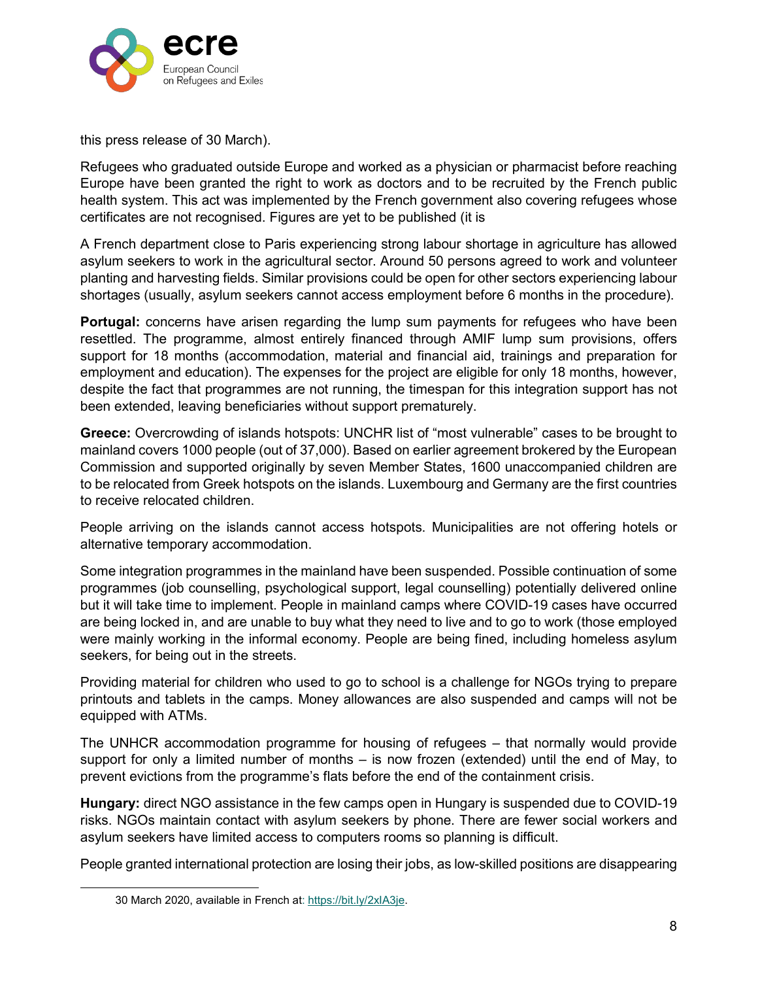

this press release of 30 March).

Refugees who graduated outside Europe and worked as a physician or pharmacist before reaching Europe have been granted the right to work as doctors and to be recruited by the French public health system. This act was implemented by the French government also covering refugees whose certificates are not recognised. Figures are yet to be published (it is

A French department close to Paris experiencing strong labour shortage in agriculture has allowed asylum seekers to work in the agricultural sector. Around 50 persons agreed to work and volunteer planting and harvesting fields. Similar provisions could be open for other sectors experiencing labour shortages (usually, asylum seekers cannot access employment before 6 months in the procedure).

Portugal: concerns have arisen regarding the lump sum payments for refugees who have been resettled. The programme, almost entirely financed through AMIF lump sum provisions, offers support for 18 months (accommodation, material and financial aid, trainings and preparation for employment and education). The expenses for the project are eligible for only 18 months, however, despite the fact that programmes are not running, the timespan for this integration support has not been extended, leaving beneficiaries without support prematurely.

**Greece:** Overcrowding of islands hotspots: UNCHR list of "most vulnerable" cases to be brought to mainland covers 1000 people (out of 37,000). Based on earlier agreement brokered by the European Commission and supported originally by seven Member States, 1600 unaccompanied children are to be relocated from Greek hotspots on the islands. Luxembourg and Germany are the first countries to receive relocated children.

People arriving on the islands cannot access hotspots. Municipalities are not offering hotels or alternative temporary accommodation.

Some integration programmes in the mainland have been suspended. Possible continuation of some programmes (job counselling, psychological support, legal counselling) potentially delivered online but it will take time to implement. People in mainland camps where COVID-19 cases have occurred are being locked in, and are unable to buy what they need to live and to go to work (those employed were mainly working in the informal economy. People are being fined, including homeless asylum seekers, for being out in the streets.

Providing material for children who used to go to school is a challenge for NGOs trying to prepare printouts and tablets in the camps. Money allowances are also suspended and camps will not be equipped with ATMs.

The UNHCR accommodation programme for housing of refugees – that normally would provide support for only a limited number of months – is now frozen (extended) until the end of May, to prevent evictions from the programme's flats before the end of the containment crisis.

**Hungary:** direct NGO assistance in the few camps open in Hungary is suspended due to COVID-19 risks. NGOs maintain contact with asylum seekers by phone. There are fewer social workers and asylum seekers have limited access to computers rooms so planning is difficult.

People granted international protection are losing their jobs, as low-skilled positions are disappearing

 <sup>30</sup> March 2020, available in French at: [https://bit.ly/2xIA3je.](https://bit.ly/2xIA3je)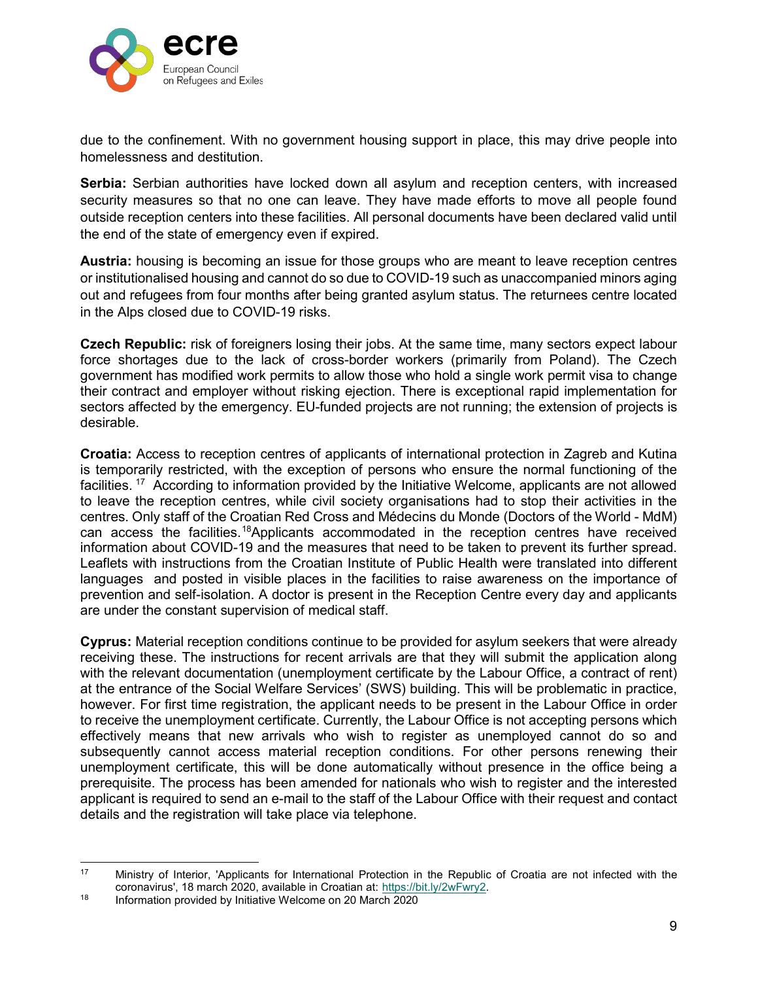

due to the confinement. With no government housing support in place, this may drive people into homelessness and destitution.

**Serbia:** Serbian authorities have locked down all asylum and reception centers, with increased security measures so that no one can leave. They have made efforts to move all people found outside reception centers into these facilities. All personal documents have been declared valid until the end of the state of emergency even if expired.

**Austria:** housing is becoming an issue for those groups who are meant to leave reception centres or institutionalised housing and cannot do so due to COVID-19 such as unaccompanied minors aging out and refugees from four months after being granted asylum status. The returnees centre located in the Alps closed due to COVID-19 risks.

**Czech Republic:** risk of foreigners losing their jobs. At the same time, many sectors expect labour force shortages due to the lack of cross-border workers (primarily from Poland). The Czech government has modified work permits to allow those who hold a single work permit visa to change their contract and employer without risking ejection. There is exceptional rapid implementation for sectors affected by the emergency. EU-funded projects are not running; the extension of projects is desirable.

**Croatia:** Access to reception centres of applicants of international protection in Zagreb and Kutina is temporarily restricted, with the exception of persons who ensure the normal functioning of the facilities.<sup>[17](#page-8-0)</sup> According to information provided by the Initiative Welcome, applicants are not allowed to leave the reception centres, while civil society organisations had to stop their activities in the centres. Only staff of the Croatian Red Cross and Médecins du Monde (Doctors of the World - MdM) can access the facilities.<sup>[18](#page-8-1)</sup>Applicants accommodated in the reception centres have received information about COVID-19 and the measures that need to be taken to prevent its further spread. Leaflets with instructions from the Croatian Institute of Public Health were translated into different languages and posted in visible places in the facilities to raise awareness on the importance of prevention and self-isolation. A doctor is present in the Reception Centre every day and applicants are under the constant supervision of medical staff.

**Cyprus:** Material reception conditions continue to be provided for asylum seekers that were already receiving these. The instructions for recent arrivals are that they will submit the application along with the relevant documentation (unemployment certificate by the Labour Office, a contract of rent) at the entrance of the Social Welfare Services' (SWS) building. This will be problematic in practice, however. For first time registration, the applicant needs to be present in the Labour Office in order to receive the unemployment certificate. Currently, the Labour Office is not accepting persons which effectively means that new arrivals who wish to register as unemployed cannot do so and subsequently cannot access material reception conditions. For other persons renewing their unemployment certificate, this will be done automatically without presence in the office being a prerequisite. The process has been amended for nationals who wish to register and the interested applicant is required to send an e-mail to the staff of the Labour Office with their request and contact details and the registration will take place via telephone.

<span id="page-8-0"></span><sup>&</sup>lt;sup>17</sup> Ministry of Interior, 'Applicants for International Protection in the Republic of Croatia are not infected with the coronavirus', 18 march 2020, available in Croatian at: [https://bit.ly/2wFwry2.](https://bit.ly/2wFwry2)<br><sup>18</sup> Information provided by Initiative Welcome on 20 March 2020

<span id="page-8-1"></span>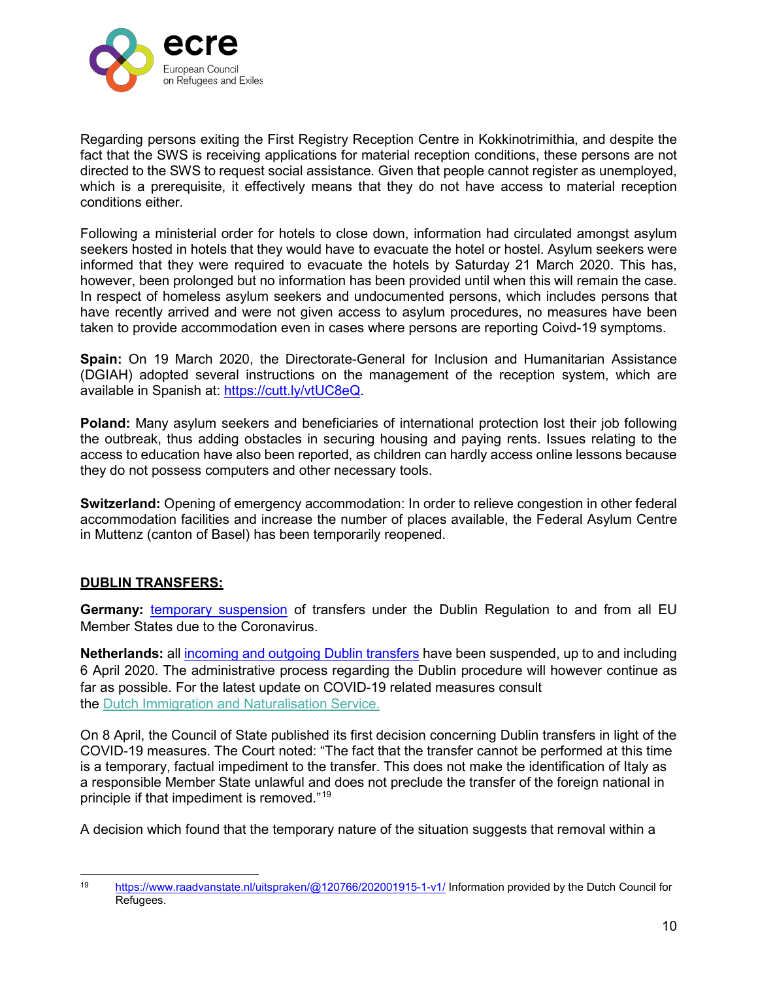

Regarding persons exiting the First Registry Reception Centre in Kokkinotrimithia, and despite the fact that the SWS is receiving applications for material reception conditions, these persons are not directed to the SWS to request social assistance. Given that people cannot register as unemployed, which is a prerequisite, it effectively means that they do not have access to material reception conditions either.

Following a ministerial order for hotels to close down, information had circulated amongst asylum seekers hosted in hotels that they would have to evacuate the hotel or hostel. Asylum seekers were informed that they were required to evacuate the hotels by Saturday 21 March 2020. This has, however, been prolonged but no information has been provided until when this will remain the case. In respect of homeless asylum seekers and undocumented persons, which includes persons that have recently arrived and were not given access to asylum procedures, no measures have been taken to provide accommodation even in cases where persons are reporting Coivd-19 symptoms.

**Spain:** On 19 March 2020, the Directorate-General for Inclusion and Humanitarian Assistance (DGIAH) adopted several instructions on the management of the reception system, which are available in Spanish at: [https://cutt.ly/vtUC8eQ.](https://cutt.ly/vtUC8eQ)

**Poland:** Many asylum seekers and beneficiaries of international protection lost their job following the outbreak, thus adding obstacles in securing housing and paying rents. Issues relating to the access to education have also been reported, as children can hardly access online lessons because they do not possess computers and other necessary tools.

**Switzerland:** Opening of emergency accommodation: In order to relieve congestion in other federal accommodation facilities and increase the number of places available, the Federal Asylum Centre in Muttenz (canton of Basel) has been temporarily reopened.

# **DUBLIN TRANSFERS:**

**Germany:** [temporary suspension](https://www.ecre.org/germany-temporary-suspension-of-dublin-returns-due-to-covid-10/) of transfers under the Dublin Regulation to and from all EU Member States due to the Coronavirus.

**Netherlands:** all [incoming and outgoing Dublin transfers](https://www.asylumineurope.org/sites/default/files/report-download/aida_nl_2019update.pdf) have been suspended, up to and including 6 April 2020. The administrative process regarding the Dublin procedure will however continue as far as possible. For the latest update on COVID-19 related measures consult the [Dutch Immigration and Naturalisation Service.](https://ind.nl/en/Pages/Coronavirus.aspx)

On 8 April, the Council of State published its first decision concerning Dublin transfers in light of the COVID-19 measures. The Court noted: "The fact that the transfer cannot be performed at this time is a temporary, factual impediment to the transfer. This does not make the identification of Italy as a responsible Member State unlawful and does not preclude the transfer of the foreign national in principle if that impediment is removed."[19](#page-9-0)

A decision which found that the temporary nature of the situation suggests that removal within a

<span id="page-9-0"></span><sup>19</sup> <https://www.raadvanstate.nl/uitspraken/@120766/202001915-1-v1/> Information provided by the Dutch Council for Refugees.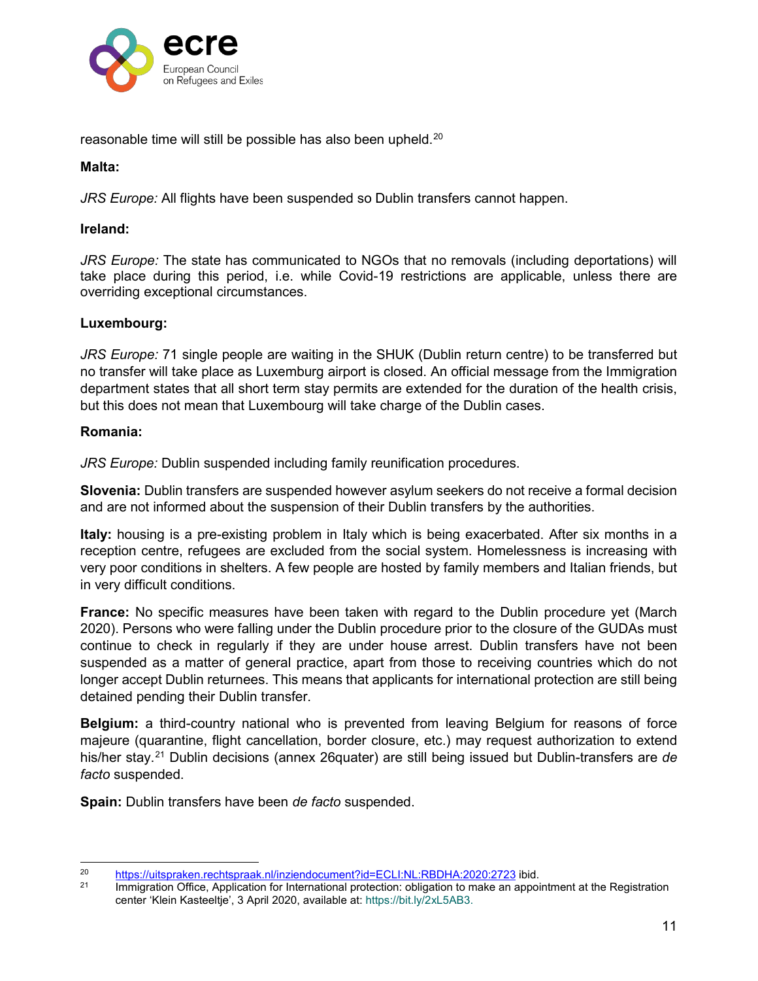

reasonable time will still be possible has also been upheld.<sup>[20](#page-10-0)</sup>

#### **Malta:**

*JRS Europe:* All flights have been suspended so Dublin transfers cannot happen.

#### **Ireland:**

*JRS Europe:* The state has communicated to NGOs that no removals (including deportations) will take place during this period, i.e. while Covid-19 restrictions are applicable, unless there are overriding exceptional circumstances.

#### **Luxembourg:**

*JRS Europe:* 71 single people are waiting in the SHUK (Dublin return centre) to be transferred but no transfer will take place as Luxemburg airport is closed. An official message from the Immigration department states that all short term stay permits are extended for the duration of the health crisis, but this does not mean that Luxembourg will take charge of the Dublin cases.

#### **Romania:**

*JRS Europe:* Dublin suspended including family reunification procedures.

**Slovenia:** Dublin transfers are suspended however asylum seekers do not receive a formal decision and are not informed about the suspension of their Dublin transfers by the authorities.

**Italy:** housing is a pre-existing problem in Italy which is being exacerbated. After six months in a reception centre, refugees are excluded from the social system. Homelessness is increasing with very poor conditions in shelters. A few people are hosted by family members and Italian friends, but in very difficult conditions.

**France:** No specific measures have been taken with regard to the Dublin procedure yet (March 2020). Persons who were falling under the Dublin procedure prior to the closure of the GUDAs must continue to check in regularly if they are under house arrest. Dublin transfers have not been suspended as a matter of general practice, apart from those to receiving countries which do not longer accept Dublin returnees. This means that applicants for international protection are still being detained pending their Dublin transfer.

**Belgium:** a third-country national who is prevented from leaving Belgium for reasons of force majeure (quarantine, flight cancellation, border closure, etc.) may request authorization to extend his/her stay.[21](#page-10-1) Dublin decisions (annex 26quater) are still being issued but Dublin-transfers are *de facto* suspended.

**Spain:** Dublin transfers have been *de facto* suspended.

<span id="page-10-1"></span><span id="page-10-0"></span><sup>&</sup>lt;sup>20</sup> <https://uitspraken.rechtspraak.nl/inziendocument?id=ECLI:NL:RBDHA:2020:2723> ibid.<br><sup>21</sup> Immigration Office Application for International protection: obligation to make an appoi

Immigration Office, Application for International protection: obligation to make an appointment at the Registration center 'Klein Kasteeltje', 3 April 2020, available at: https://bit.ly/2xL5AB3.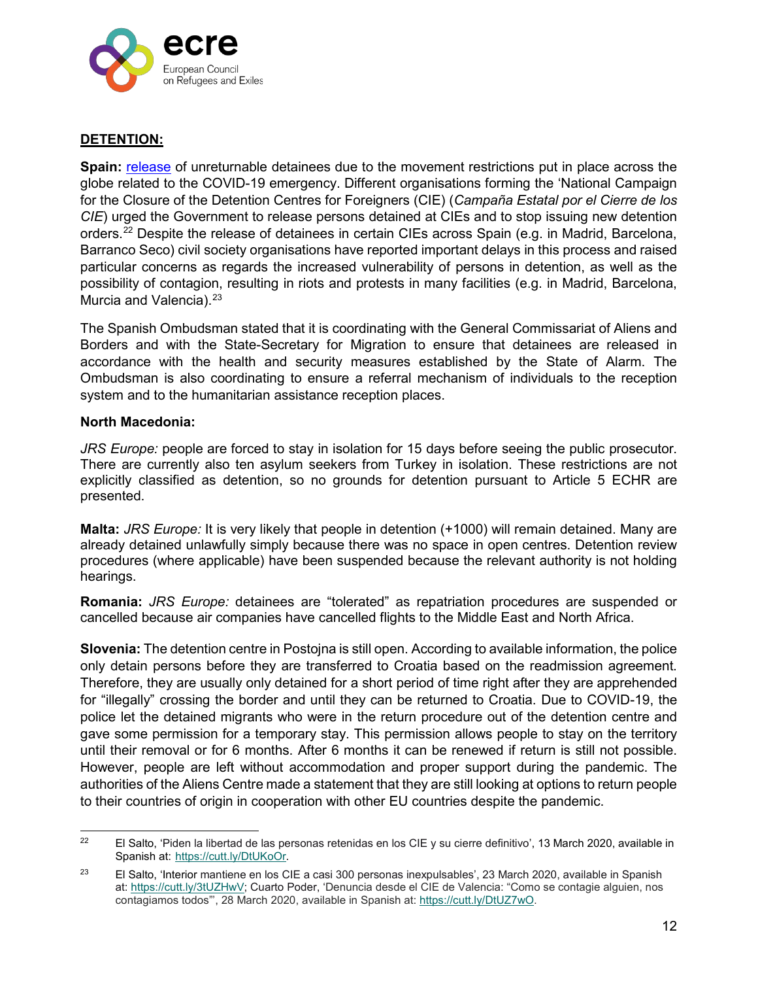

## **DETENTION:**

**Spain:** [release](https://www.ecre.org/spain-to-release-unreturnable-detainees-ngos-urges-uk-to-do-the-same/) of unreturnable detainees due to the movement restrictions put in place across the globe related to the COVID-19 emergency. Different organisations forming the 'National Campaign for the Closure of the Detention Centres for Foreigners (CIE) (*Campaña Estatal por el Cierre de los CIE*) urged the Government to release persons detained at CIEs and to stop issuing new detention orders.[22](#page-11-0) Despite the release of detainees in certain CIEs across Spain (e.g. in Madrid, Barcelona, Barranco Seco) civil society organisations have reported important delays in this process and raised particular concerns as regards the increased vulnerability of persons in detention, as well as the possibility of contagion, resulting in riots and protests in many facilities (e.g. in Madrid, Barcelona, Murcia and Valencia).<sup>23</sup>

The Spanish Ombudsman stated that it is coordinating with the General Commissariat of Aliens and Borders and with the State-Secretary for Migration to ensure that detainees are released in accordance with the health and security measures established by the State of Alarm. The Ombudsman is also coordinating to ensure a referral mechanism of individuals to the reception system and to the humanitarian assistance reception places.

#### **North Macedonia:**

*JRS Europe:* people are forced to stay in isolation for 15 days before seeing the public prosecutor. There are currently also ten asylum seekers from Turkey in isolation. These restrictions are not explicitly classified as detention, so no grounds for detention pursuant to Article 5 ECHR are presented.

**Malta:** *JRS Europe:* It is very likely that people in detention (+1000) will remain detained. Many are already detained unlawfully simply because there was no space in open centres. Detention review procedures (where applicable) have been suspended because the relevant authority is not holding hearings.

**Romania:** *JRS Europe:* detainees are "tolerated" as repatriation procedures are suspended or cancelled because air companies have cancelled flights to the Middle East and North Africa.

**Slovenia:** The detention centre in Postojna is still open. According to available information, the police only detain persons before they are transferred to Croatia based on the readmission agreement. Therefore, they are usually only detained for a short period of time right after they are apprehended for "illegally" crossing the border and until they can be returned to Croatia. Due to COVID-19, the police let the detained migrants who were in the return procedure out of the detention centre and gave some permission for a temporary stay. This permission allows people to stay on the territory until their removal or for 6 months. After 6 months it can be renewed if return is still not possible. However, people are left without accommodation and proper support during the pandemic. The authorities of the Aliens Centre made a statement that they are still looking at options to return people to their countries of origin in cooperation with other EU countries despite the pandemic.

<span id="page-11-0"></span><sup>&</sup>lt;sup>22</sup> El Salto, 'Piden la libertad de las personas retenidas en los CIE y su cierre definitivo', 13 March 2020, available in Spanish at: [https://cutt.ly/DtUKoOr.](https://cutt.ly/DtUKoOr)

<span id="page-11-1"></span><sup>&</sup>lt;sup>23</sup> El Salto, 'Interior mantiene en los CIE a casi 300 personas inexpulsables', 23 March 2020, available in Spanish at: [https://cutt.ly/3tUZHwV;](https://cutt.ly/3tUZHwV) Cuarto Poder, 'Denuncia desde el CIE de Valencia: "Como se contagie alguien, nos contagiamos todos"', 28 March 2020, available in Spanish at: [https://cutt.ly/DtUZ7wO.](https://cutt.ly/DtUZ7wO)